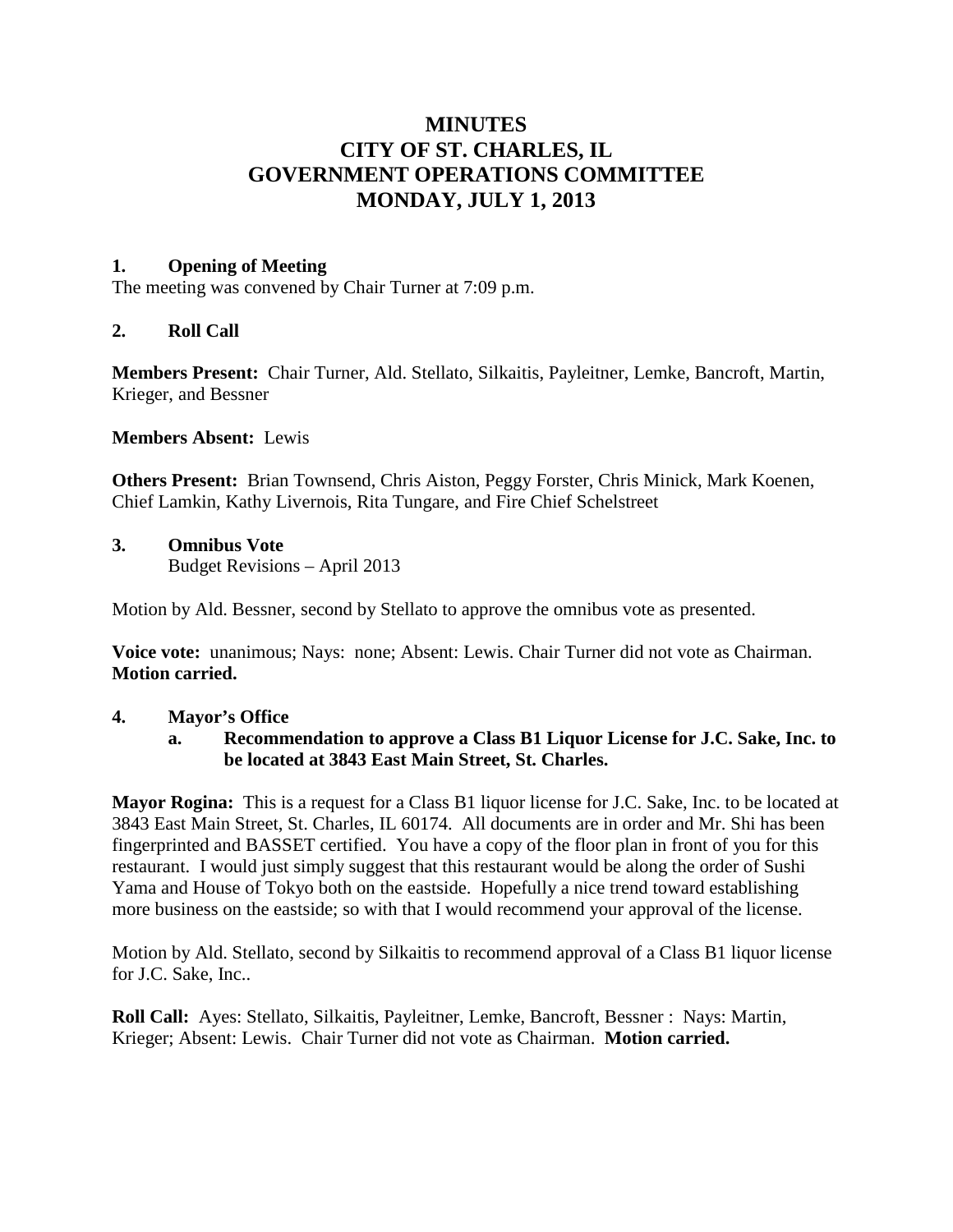# **MINUTES CITY OF ST. CHARLES, IL GOVERNMENT OPERATIONS COMMITTEE MONDAY, JULY 1, 2013**

### **1. Opening of Meeting**

The meeting was convened by Chair Turner at 7:09 p.m.

### **2. Roll Call**

**Members Present:** Chair Turner, Ald. Stellato, Silkaitis, Payleitner, Lemke, Bancroft, Martin, Krieger, and Bessner

**Members Absent:** Lewis

**Others Present:** Brian Townsend, Chris Aiston, Peggy Forster, Chris Minick, Mark Koenen, Chief Lamkin, Kathy Livernois, Rita Tungare, and Fire Chief Schelstreet

### **3. Omnibus Vote**

Budget Revisions – April 2013

Motion by Ald. Bessner, second by Stellato to approve the omnibus vote as presented.

**Voice vote:** unanimous; Nays: none; Absent: Lewis. Chair Turner did not vote as Chairman. **Motion carried.**

### **4. Mayor's Office**

**a. Recommendation to approve a Class B1 Liquor License for J.C. Sake, Inc. to be located at 3843 East Main Street, St. Charles.**

**Mayor Rogina:** This is a request for a Class B1 liquor license for J.C. Sake, Inc. to be located at 3843 East Main Street, St. Charles, IL 60174. All documents are in order and Mr. Shi has been fingerprinted and BASSET certified. You have a copy of the floor plan in front of you for this restaurant. I would just simply suggest that this restaurant would be along the order of Sushi Yama and House of Tokyo both on the eastside. Hopefully a nice trend toward establishing more business on the eastside; so with that I would recommend your approval of the license.

Motion by Ald. Stellato, second by Silkaitis to recommend approval of a Class B1 liquor license for J.C. Sake, Inc..

**Roll Call:** Ayes: Stellato, Silkaitis, Payleitner, Lemke, Bancroft, Bessner : Nays: Martin, Krieger; Absent: Lewis. Chair Turner did not vote as Chairman. **Motion carried.**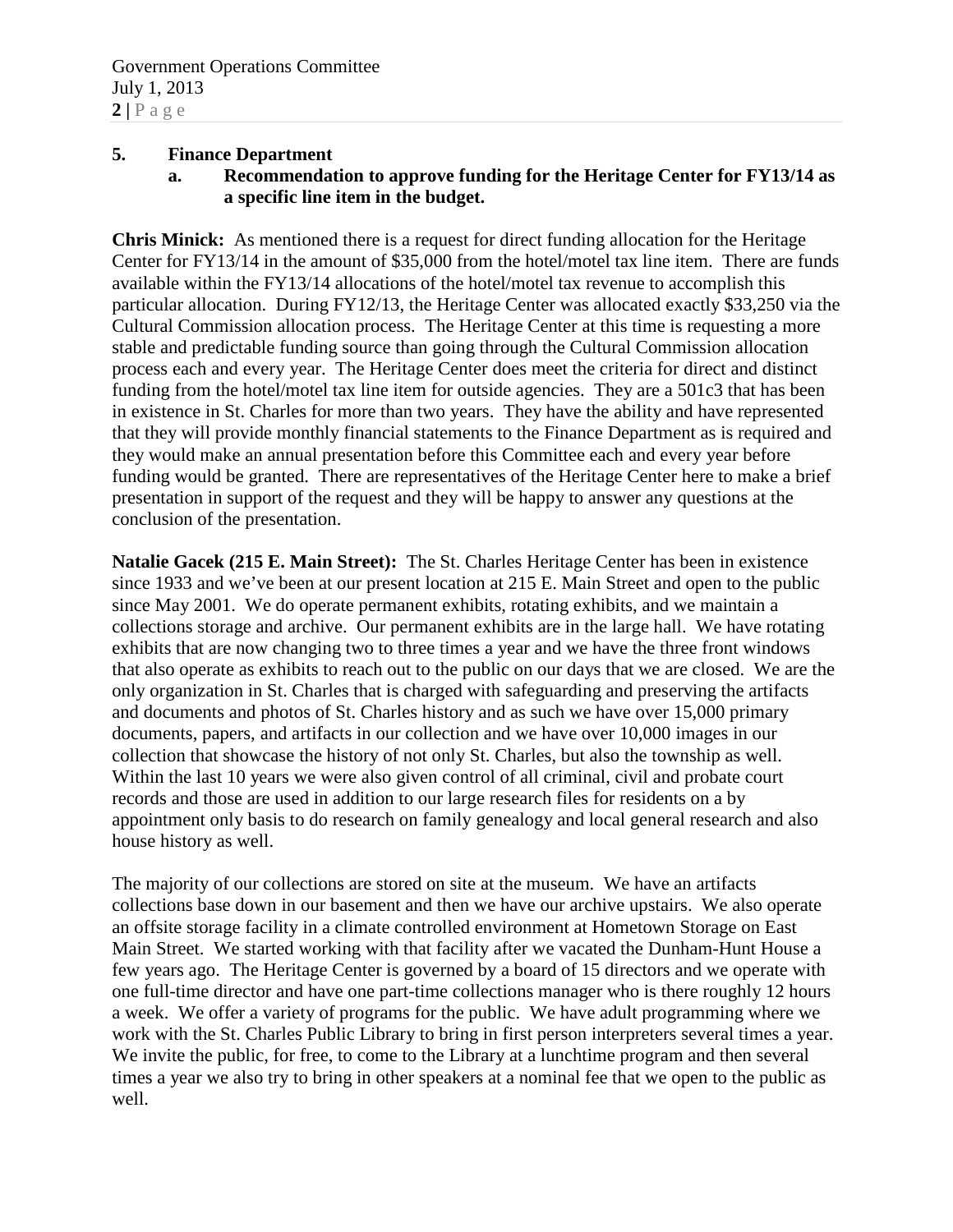### **5. Finance Department**

**a. Recommendation to approve funding for the Heritage Center for FY13/14 as a specific line item in the budget.**

**Chris Minick:** As mentioned there is a request for direct funding allocation for the Heritage Center for FY13/14 in the amount of \$35,000 from the hotel/motel tax line item. There are funds available within the FY13/14 allocations of the hotel/motel tax revenue to accomplish this particular allocation. During FY12/13, the Heritage Center was allocated exactly \$33,250 via the Cultural Commission allocation process. The Heritage Center at this time is requesting a more stable and predictable funding source than going through the Cultural Commission allocation process each and every year. The Heritage Center does meet the criteria for direct and distinct funding from the hotel/motel tax line item for outside agencies. They are a 501c3 that has been in existence in St. Charles for more than two years. They have the ability and have represented that they will provide monthly financial statements to the Finance Department as is required and they would make an annual presentation before this Committee each and every year before funding would be granted. There are representatives of the Heritage Center here to make a brief presentation in support of the request and they will be happy to answer any questions at the conclusion of the presentation.

**Natalie Gacek (215 E. Main Street):** The St. Charles Heritage Center has been in existence since 1933 and we've been at our present location at 215 E. Main Street and open to the public since May 2001. We do operate permanent exhibits, rotating exhibits, and we maintain a collections storage and archive. Our permanent exhibits are in the large hall. We have rotating exhibits that are now changing two to three times a year and we have the three front windows that also operate as exhibits to reach out to the public on our days that we are closed. We are the only organization in St. Charles that is charged with safeguarding and preserving the artifacts and documents and photos of St. Charles history and as such we have over 15,000 primary documents, papers, and artifacts in our collection and we have over 10,000 images in our collection that showcase the history of not only St. Charles, but also the township as well. Within the last 10 years we were also given control of all criminal, civil and probate court records and those are used in addition to our large research files for residents on a by appointment only basis to do research on family genealogy and local general research and also house history as well.

The majority of our collections are stored on site at the museum. We have an artifacts collections base down in our basement and then we have our archive upstairs. We also operate an offsite storage facility in a climate controlled environment at Hometown Storage on East Main Street. We started working with that facility after we vacated the Dunham-Hunt House a few years ago. The Heritage Center is governed by a board of 15 directors and we operate with one full-time director and have one part-time collections manager who is there roughly 12 hours a week. We offer a variety of programs for the public. We have adult programming where we work with the St. Charles Public Library to bring in first person interpreters several times a year. We invite the public, for free, to come to the Library at a lunchtime program and then several times a year we also try to bring in other speakers at a nominal fee that we open to the public as well.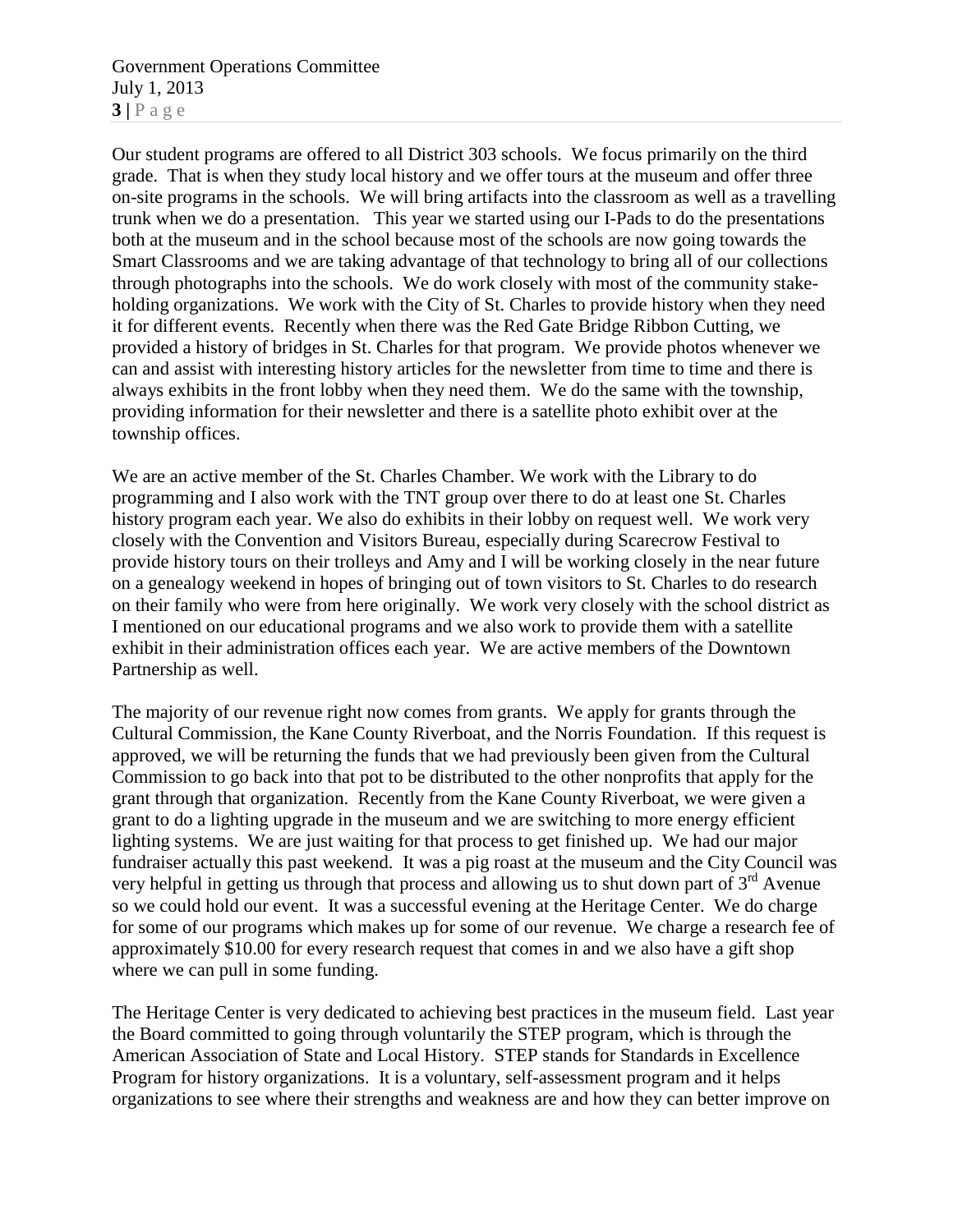Government Operations Committee July 1, 2013  $3|$   $P$  a g e

Our student programs are offered to all District 303 schools. We focus primarily on the third grade. That is when they study local history and we offer tours at the museum and offer three on-site programs in the schools. We will bring artifacts into the classroom as well as a travelling trunk when we do a presentation. This year we started using our I-Pads to do the presentations both at the museum and in the school because most of the schools are now going towards the Smart Classrooms and we are taking advantage of that technology to bring all of our collections through photographs into the schools. We do work closely with most of the community stakeholding organizations. We work with the City of St. Charles to provide history when they need it for different events. Recently when there was the Red Gate Bridge Ribbon Cutting, we provided a history of bridges in St. Charles for that program. We provide photos whenever we can and assist with interesting history articles for the newsletter from time to time and there is always exhibits in the front lobby when they need them. We do the same with the township, providing information for their newsletter and there is a satellite photo exhibit over at the township offices.

We are an active member of the St. Charles Chamber. We work with the Library to do programming and I also work with the TNT group over there to do at least one St. Charles history program each year. We also do exhibits in their lobby on request well. We work very closely with the Convention and Visitors Bureau, especially during Scarecrow Festival to provide history tours on their trolleys and Amy and I will be working closely in the near future on a genealogy weekend in hopes of bringing out of town visitors to St. Charles to do research on their family who were from here originally. We work very closely with the school district as I mentioned on our educational programs and we also work to provide them with a satellite exhibit in their administration offices each year. We are active members of the Downtown Partnership as well.

The majority of our revenue right now comes from grants. We apply for grants through the Cultural Commission, the Kane County Riverboat, and the Norris Foundation. If this request is approved, we will be returning the funds that we had previously been given from the Cultural Commission to go back into that pot to be distributed to the other nonprofits that apply for the grant through that organization. Recently from the Kane County Riverboat, we were given a grant to do a lighting upgrade in the museum and we are switching to more energy efficient lighting systems. We are just waiting for that process to get finished up. We had our major fundraiser actually this past weekend. It was a pig roast at the museum and the City Council was very helpful in getting us through that process and allowing us to shut down part of  $3<sup>rd</sup>$  Avenue so we could hold our event. It was a successful evening at the Heritage Center. We do charge for some of our programs which makes up for some of our revenue. We charge a research fee of approximately \$10.00 for every research request that comes in and we also have a gift shop where we can pull in some funding.

The Heritage Center is very dedicated to achieving best practices in the museum field. Last year the Board committed to going through voluntarily the STEP program, which is through the American Association of State and Local History. STEP stands for Standards in Excellence Program for history organizations. It is a voluntary, self-assessment program and it helps organizations to see where their strengths and weakness are and how they can better improve on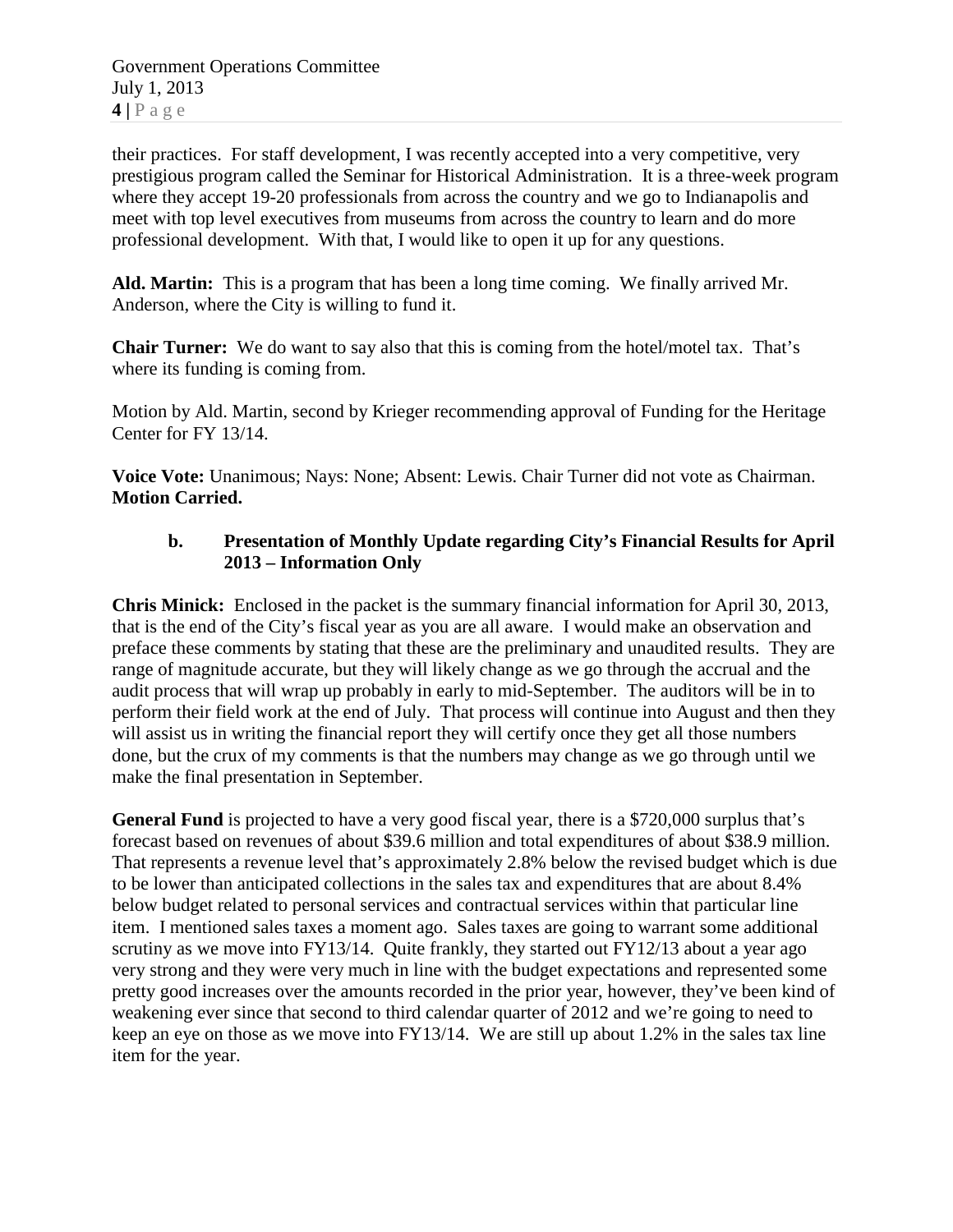Government Operations Committee July 1, 2013 **4 |** Page

their practices. For staff development, I was recently accepted into a very competitive, very prestigious program called the Seminar for Historical Administration. It is a three-week program where they accept 19-20 professionals from across the country and we go to Indianapolis and meet with top level executives from museums from across the country to learn and do more professional development. With that, I would like to open it up for any questions.

**Ald. Martin:** This is a program that has been a long time coming. We finally arrived Mr. Anderson, where the City is willing to fund it.

**Chair Turner:** We do want to say also that this is coming from the hotel/motel tax. That's where its funding is coming from.

Motion by Ald. Martin, second by Krieger recommending approval of Funding for the Heritage Center for FY 13/14.

**Voice Vote:** Unanimous; Nays: None; Absent: Lewis. Chair Turner did not vote as Chairman. **Motion Carried.**

## **b. Presentation of Monthly Update regarding City's Financial Results for April 2013 – Information Only**

**Chris Minick:** Enclosed in the packet is the summary financial information for April 30, 2013, that is the end of the City's fiscal year as you are all aware. I would make an observation and preface these comments by stating that these are the preliminary and unaudited results. They are range of magnitude accurate, but they will likely change as we go through the accrual and the audit process that will wrap up probably in early to mid-September. The auditors will be in to perform their field work at the end of July. That process will continue into August and then they will assist us in writing the financial report they will certify once they get all those numbers done, but the crux of my comments is that the numbers may change as we go through until we make the final presentation in September.

**General Fund** is projected to have a very good fiscal year, there is a \$720,000 surplus that's forecast based on revenues of about \$39.6 million and total expenditures of about \$38.9 million. That represents a revenue level that's approximately 2.8% below the revised budget which is due to be lower than anticipated collections in the sales tax and expenditures that are about 8.4% below budget related to personal services and contractual services within that particular line item. I mentioned sales taxes a moment ago. Sales taxes are going to warrant some additional scrutiny as we move into FY13/14. Quite frankly, they started out FY12/13 about a year ago very strong and they were very much in line with the budget expectations and represented some pretty good increases over the amounts recorded in the prior year, however, they've been kind of weakening ever since that second to third calendar quarter of 2012 and we're going to need to keep an eye on those as we move into FY13/14. We are still up about 1.2% in the sales tax line item for the year.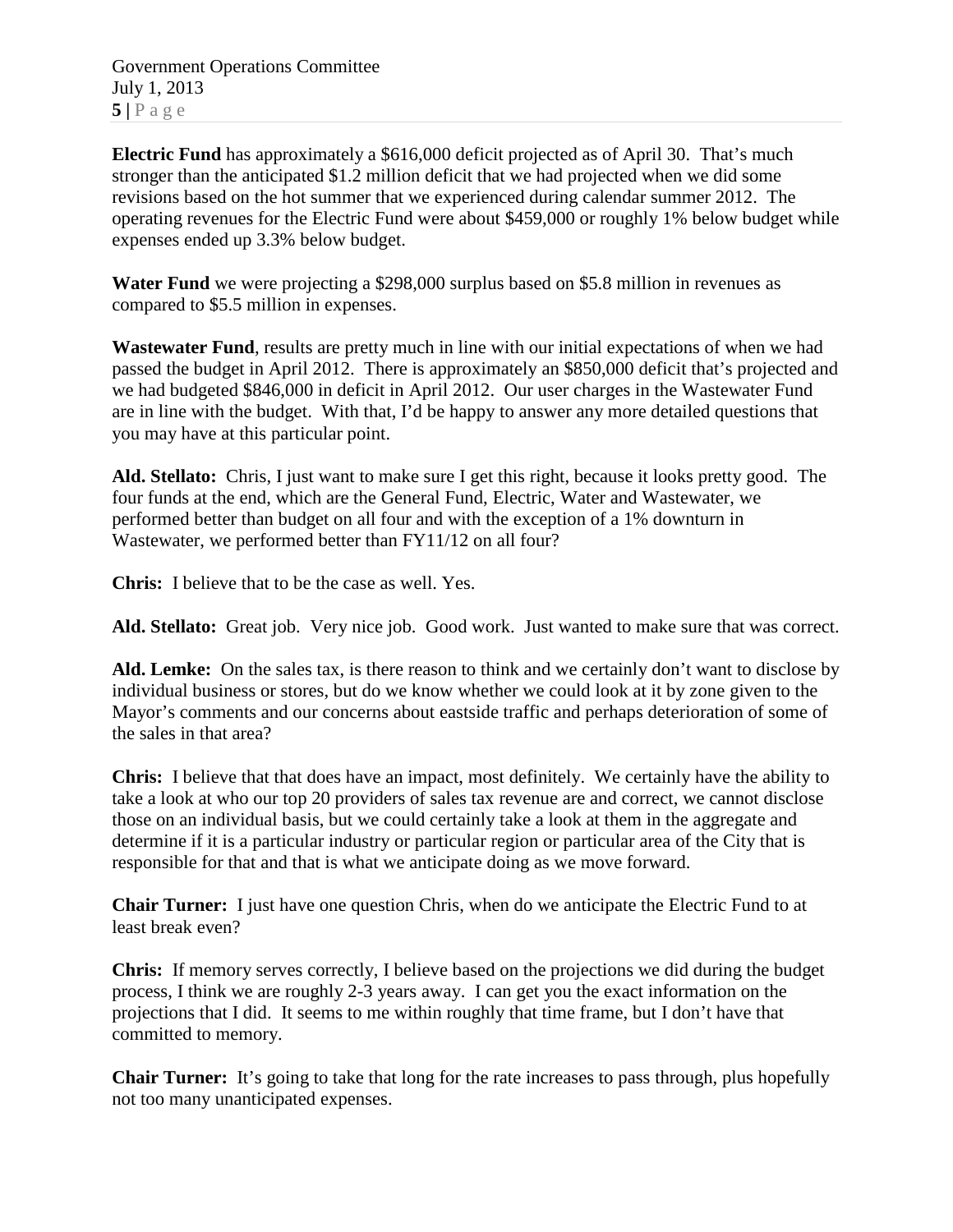Government Operations Committee July 1, 2013  $5|$   $P$  a g e

**Electric Fund** has approximately a \$616,000 deficit projected as of April 30. That's much stronger than the anticipated \$1.2 million deficit that we had projected when we did some revisions based on the hot summer that we experienced during calendar summer 2012. The operating revenues for the Electric Fund were about \$459,000 or roughly 1% below budget while expenses ended up 3.3% below budget.

**Water Fund** we were projecting a \$298,000 surplus based on \$5.8 million in revenues as compared to \$5.5 million in expenses.

**Wastewater Fund**, results are pretty much in line with our initial expectations of when we had passed the budget in April 2012. There is approximately an \$850,000 deficit that's projected and we had budgeted \$846,000 in deficit in April 2012. Our user charges in the Wastewater Fund are in line with the budget. With that, I'd be happy to answer any more detailed questions that you may have at this particular point.

**Ald. Stellato:** Chris, I just want to make sure I get this right, because it looks pretty good. The four funds at the end, which are the General Fund, Electric, Water and Wastewater, we performed better than budget on all four and with the exception of a 1% downturn in Wastewater, we performed better than FY11/12 on all four?

**Chris:** I believe that to be the case as well. Yes.

**Ald. Stellato:** Great job. Very nice job. Good work. Just wanted to make sure that was correct.

**Ald. Lemke:** On the sales tax, is there reason to think and we certainly don't want to disclose by individual business or stores, but do we know whether we could look at it by zone given to the Mayor's comments and our concerns about eastside traffic and perhaps deterioration of some of the sales in that area?

**Chris:** I believe that that does have an impact, most definitely. We certainly have the ability to take a look at who our top 20 providers of sales tax revenue are and correct, we cannot disclose those on an individual basis, but we could certainly take a look at them in the aggregate and determine if it is a particular industry or particular region or particular area of the City that is responsible for that and that is what we anticipate doing as we move forward.

**Chair Turner:** I just have one question Chris, when do we anticipate the Electric Fund to at least break even?

**Chris:** If memory serves correctly, I believe based on the projections we did during the budget process, I think we are roughly 2-3 years away. I can get you the exact information on the projections that I did. It seems to me within roughly that time frame, but I don't have that committed to memory.

**Chair Turner:** It's going to take that long for the rate increases to pass through, plus hopefully not too many unanticipated expenses.